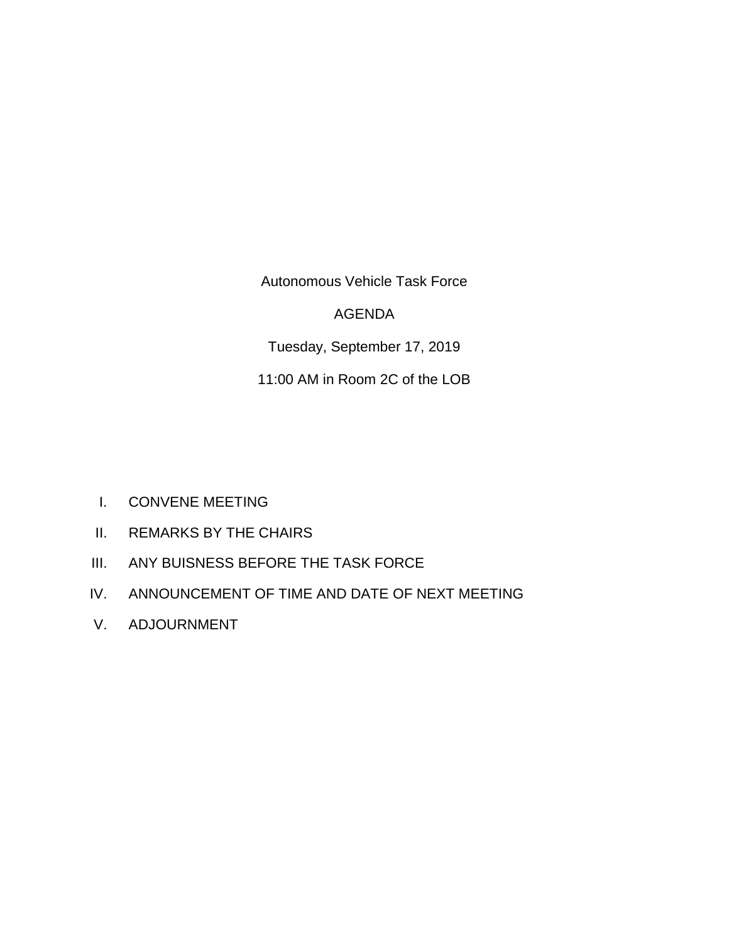Autonomous Vehicle Task Force

## AGENDA

Tuesday, September 17, 2019

11:00 AM in Room 2C of the LOB

- I. CONVENE MEETING
- II. REMARKS BY THE CHAIRS
- III. ANY BUISNESS BEFORE THE TASK FORCE
- IV. ANNOUNCEMENT OF TIME AND DATE OF NEXT MEETING
- V. ADJOURNMENT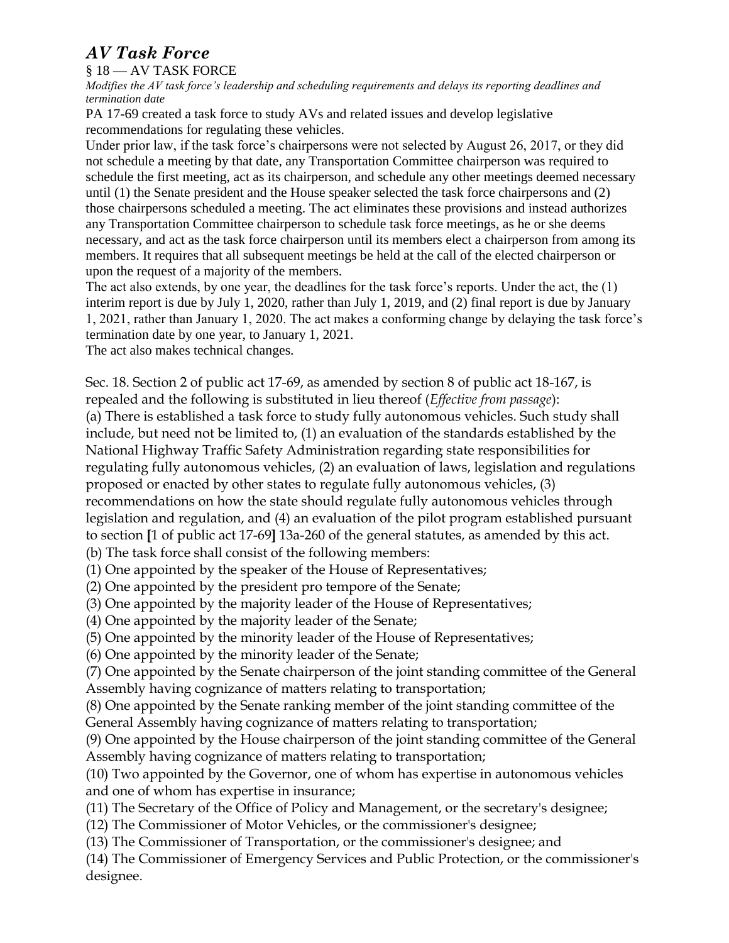## *AV Task Force*

## § 18 — AV TASK FORCE

*Modifies the AV task force's leadership and scheduling requirements and delays its reporting deadlines and termination date* 

PA 17-69 created a task force to study AVs and related issues and develop legislative recommendations for regulating these vehicles.

Under prior law, if the task force's chairpersons were not selected by August 26, 2017, or they did not schedule a meeting by that date, any Transportation Committee chairperson was required to schedule the first meeting, act as its chairperson, and schedule any other meetings deemed necessary until (1) the Senate president and the House speaker selected the task force chairpersons and (2) those chairpersons scheduled a meeting. The act eliminates these provisions and instead authorizes any Transportation Committee chairperson to schedule task force meetings, as he or she deems necessary, and act as the task force chairperson until its members elect a chairperson from among its members. It requires that all subsequent meetings be held at the call of the elected chairperson or upon the request of a majority of the members.

The act also extends, by one year, the deadlines for the task force's reports. Under the act, the (1) interim report is due by July 1, 2020, rather than July 1, 2019, and (2) final report is due by January 1, 2021, rather than January 1, 2020. The act makes a conforming change by delaying the task force's termination date by one year, to January 1, 2021.

The act also makes technical changes.

Sec. 18. Section 2 of public act 17-69, as amended by section 8 of public act 18-167, is repealed and the following is substituted in lieu thereof (*Effective from passage*): (a) There is established a task force to study fully autonomous vehicles. Such study shall include, but need not be limited to, (1) an evaluation of the standards established by the National Highway Traffic Safety Administration regarding state responsibilities for regulating fully autonomous vehicles, (2) an evaluation of laws, legislation and regulations proposed or enacted by other states to regulate fully autonomous vehicles, (3) recommendations on how the state should regulate fully autonomous vehicles through legislation and regulation, and (4) an evaluation of the pilot program established pursuant to section **[**1 of public act 17-69**]** 13a-260 of the general statutes, as amended by this act.

(b) The task force shall consist of the following members:

(1) One appointed by the speaker of the House of Representatives;

(2) One appointed by the president pro tempore of the Senate;

(3) One appointed by the majority leader of the House of Representatives;

(4) One appointed by the majority leader of the Senate;

(5) One appointed by the minority leader of the House of Representatives;

(6) One appointed by the minority leader of the Senate;

(7) One appointed by the Senate chairperson of the joint standing committee of the General Assembly having cognizance of matters relating to transportation;

(8) One appointed by the Senate ranking member of the joint standing committee of the General Assembly having cognizance of matters relating to transportation;

(9) One appointed by the House chairperson of the joint standing committee of the General Assembly having cognizance of matters relating to transportation;

(10) Two appointed by the Governor, one of whom has expertise in autonomous vehicles and one of whom has expertise in insurance;

(11) The Secretary of the Office of Policy and Management, or the secretary's designee;

(12) The Commissioner of Motor Vehicles, or the commissioner's designee;

(13) The Commissioner of Transportation, or the commissioner's designee; and

(14) The Commissioner of Emergency Services and Public Protection, or the commissioner's designee.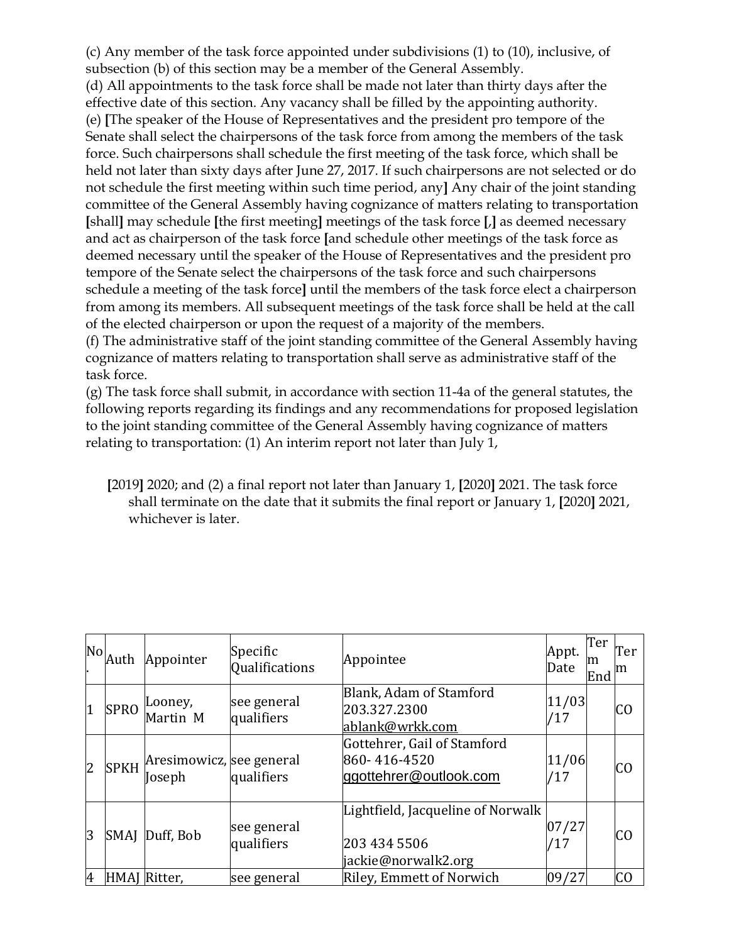(c) Any member of the task force appointed under subdivisions (1) to (10), inclusive, of subsection (b) of this section may be a member of the General Assembly. (d) All appointments to the task force shall be made not later than thirty days after the effective date of this section. Any vacancy shall be filled by the appointing authority. (e) **[**The speaker of the House of Representatives and the president pro tempore of the Senate shall select the chairpersons of the task force from among the members of the task force. Such chairpersons shall schedule the first meeting of the task force, which shall be held not later than sixty days after June 27, 2017. If such chairpersons are not selected or do not schedule the first meeting within such time period, any**]** Any chair of the joint standing committee of the General Assembly having cognizance of matters relating to transportation **[**shall**]** may schedule **[**the first meeting**]** meetings of the task force **[**,**]** as deemed necessary and act as chairperson of the task force **[**and schedule other meetings of the task force as deemed necessary until the speaker of the House of Representatives and the president pro tempore of the Senate select the chairpersons of the task force and such chairpersons schedule a meeting of the task force**]** until the members of the task force elect a chairperson from among its members. All subsequent meetings of the task force shall be held at the call of the elected chairperson or upon the request of a majority of the members.

(f) The administrative staff of the joint standing committee of the General Assembly having cognizance of matters relating to transportation shall serve as administrative staff of the task force.

(g) The task force shall submit, in accordance with section 11-4a of the general statutes, the following reports regarding its findings and any recommendations for proposed legislation to the joint standing committee of the General Assembly having cognizance of matters relating to transportation: (1) An interim report not later than July 1,

**[**2019**]** 2020; and (2) a final report not later than January 1, **[**2020**]** 2021. The task force shall terminate on the date that it submits the final report or January 1, **[**2020**]** 2021, whichever is later.

| <b>No</b>      | Auth         | Appointer                          | Specific<br>Qualifications | Appointee                                                                | Appt.<br>Date | Ter<br>m<br>End | Ter<br>m       |
|----------------|--------------|------------------------------------|----------------------------|--------------------------------------------------------------------------|---------------|-----------------|----------------|
| 1              | <b>SPRO</b>  | Looney,<br>Martin M                | see general<br>qualifiers  | Blank, Adam of Stamford<br>203.327.2300<br>ablank@wrkk.com               | 11/03<br>/17  |                 | CO             |
| $\overline{2}$ | <b>SPKH</b>  | Aresimowicz, see general<br>Joseph | qualifiers                 | Gottehrer, Gail of Stamford<br>860-416-4520<br>ggottehrer@outlook.com    | 11/06<br>/17  |                 | CO             |
| 3              |              | SMAJ Duff, Bob                     | see general<br>qualifiers  | Lightfield, Jacqueline of Norwalk<br>203 434 5506<br>jackie@norwalk2.org | 07/27<br>/17  |                 | C <sub>O</sub> |
| 4              | HMAJ Ritter, |                                    | see general                | Riley, Emmett of Norwich                                                 | 09/27         |                 | CO             |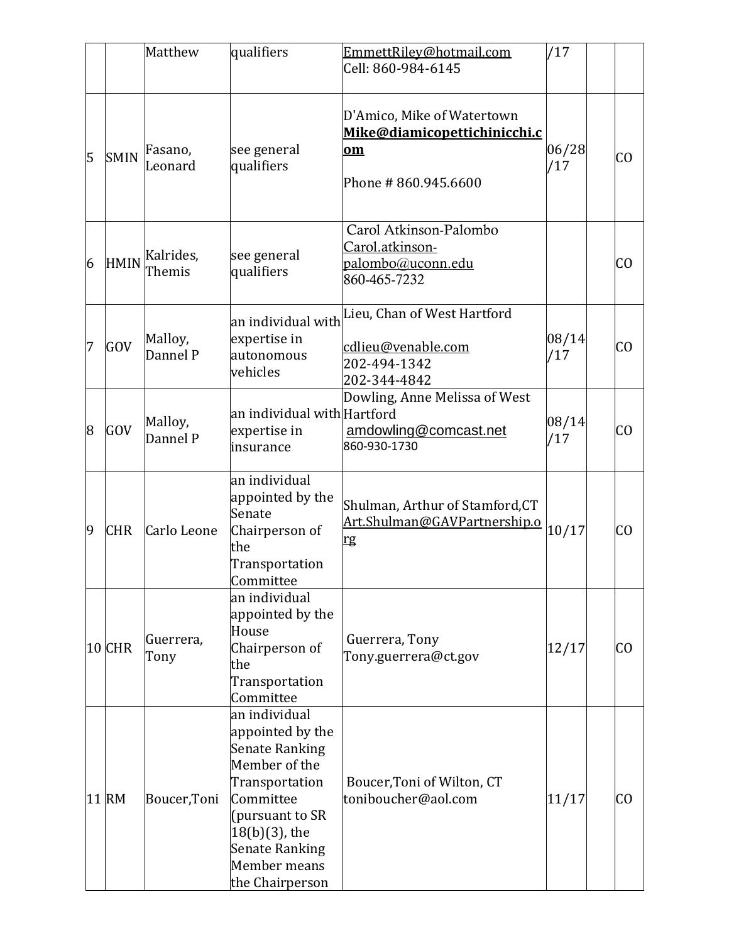|                |             | Matthew                  | qualifiers                                                                                                                                                                                                 | EmmettRiley@hotmail.com<br>Cell: 860-984-6145                                                  | /17          |    |
|----------------|-------------|--------------------------|------------------------------------------------------------------------------------------------------------------------------------------------------------------------------------------------------------|------------------------------------------------------------------------------------------------|--------------|----|
| 5              | <b>SMIN</b> | Fasano,<br>Leonard       | see general<br>qualifiers                                                                                                                                                                                  | D'Amico, Mike of Watertown<br>Mike@diamicopettichinicchi.c<br><u>om</u><br>Phone #860.945.6600 | 06/28<br>/17 | CO |
| 6              |             | HMIN Kalrides,<br>Themis | see general<br>qualifiers                                                                                                                                                                                  | Carol Atkinson-Palombo<br>Carol.atkinson-<br>palombo@uconn.edu<br>860-465-7232                 |              | CO |
| $\overline{7}$ | GOV         | Malloy,<br>Dannel P      | an individual with<br>expertise in<br>autonomous<br>vehicles                                                                                                                                               | Lieu, Chan of West Hartford<br>cdlieu@venable.com<br>202-494-1342<br>202-344-4842              | 08/14<br>/17 | CO |
| $\overline{8}$ | GOV         | Malloy,<br>Dannel P      | an individual with Hartford<br>expertise in<br>insurance                                                                                                                                                   | Dowling, Anne Melissa of West<br>amdowling@comcast.net<br>860-930-1730                         | 08/14<br>/17 | CO |
| 9              | <b>CHR</b>  | Carlo Leone              | an individual<br>appointed by the<br>Senate<br>Chairperson of<br>the<br>Transportation<br>Committee                                                                                                        | Shulman, Arthur of Stamford, CT<br>Art.Shulman@GAVPartnership.o<br>rg                          | 10/17        | CO |
|                | $10$ CHR    | Guerrera,<br>Tony        | an individual<br>appointed by the<br>House<br>Chairperson of<br>the<br>Transportation<br>Committee                                                                                                         | Guerrera, Tony<br>Tony.guerrera@ct.gov                                                         | 12/17        | CO |
|                | 11 RM       | Boucer, Toni             | an individual<br>appointed by the<br><b>Senate Ranking</b><br>Member of the<br>Transportation<br>Committee<br>(pursuant to SR<br>18(b)(3), the<br><b>Senate Ranking</b><br>Member means<br>the Chairperson | Boucer, Toni of Wilton, CT<br>toniboucher@aol.com                                              | 11/17        | CO |